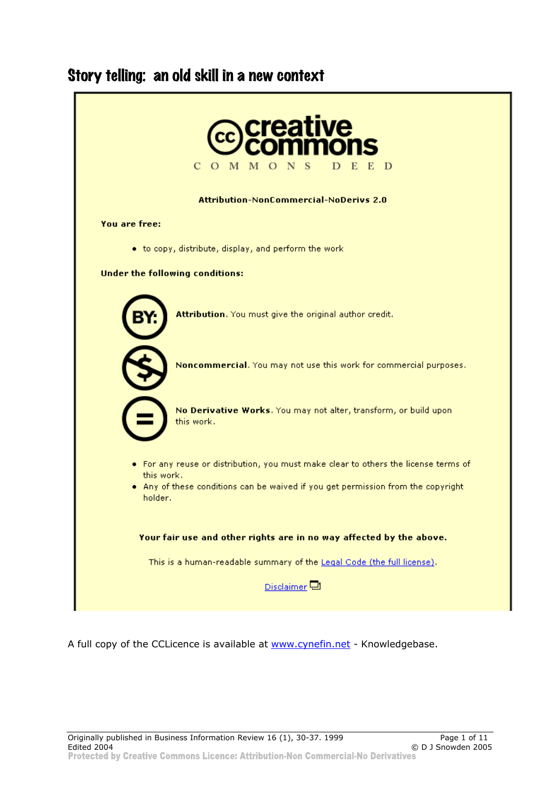# Story telling: an old skill in a new context



A full copy of the CCLicence is available at www.cynefin.net - Knowledgebase.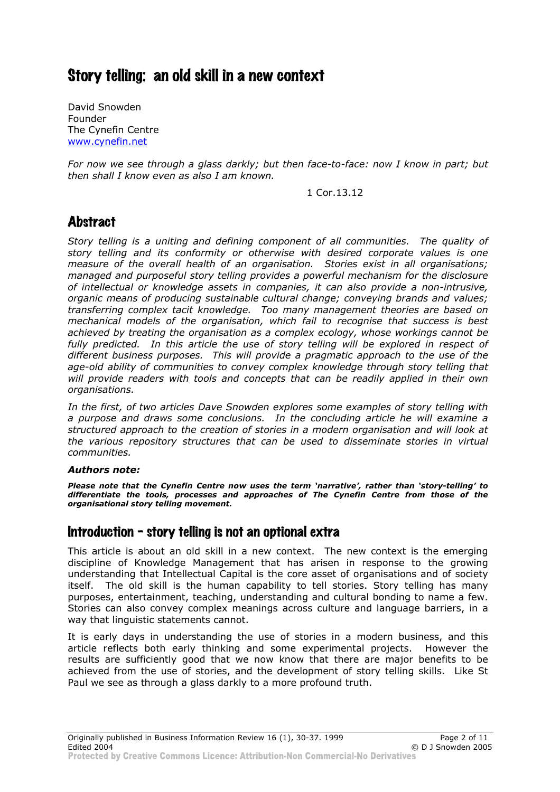# Story telling: an old skill in a new context

David Snowden Founder The Cynefin Centre www.cynefin.net

*For now we see through a glass darkly; but then face-to-face: now I know in part; but then shall I know even as also I am known.*

1 Cor.13.12

# **Abstract**

*Story telling is a uniting and defining component of all communities. The quality of story telling and its conformity or otherwise with desired corporate values is one measure of the overall health of an organisation. Stories exist in all organisations; managed and purposeful story telling provides a powerful mechanism for the disclosure of intellectual or knowledge assets in companies, it can also provide a non-intrusive, organic means of producing sustainable cultural change; conveying brands and values; transferring complex tacit knowledge. Too many management theories are based on mechanical models of the organisation, which fail to recognise that success is best achieved by treating the organisation as a complex ecology, whose workings cannot be*  fully predicted. In this article the use of story telling will be explored in respect of *different business purposes. This will provide a pragmatic approach to the use of the age-old ability of communities to convey complex knowledge through story telling that will provide readers with tools and concepts that can be readily applied in their own organisations.* 

*In the first, of two articles Dave Snowden explores some examples of story telling with a purpose and draws some conclusions. In the concluding article he will examine a structured approach to the creation of stories in a modern organisation and will look at the various repository structures that can be used to disseminate stories in virtual communities.* 

#### *Authors note:*

*Please note that the Cynefin Centre now uses the term 'narrative', rather than 'story-telling' to differentiate the tools, processes and approaches of The Cynefin Centre from those of the organisational story telling movement.* 

# Introduction - story telling is not an optional extra

This article is about an old skill in a new context. The new context is the emerging discipline of Knowledge Management that has arisen in response to the growing understanding that Intellectual Capital is the core asset of organisations and of society itself. The old skill is the human capability to tell stories. Story telling has many purposes, entertainment, teaching, understanding and cultural bonding to name a few. Stories can also convey complex meanings across culture and language barriers, in a way that linguistic statements cannot.

It is early days in understanding the use of stories in a modern business, and this article reflects both early thinking and some experimental projects. However the results are sufficiently good that we now know that there are major benefits to be achieved from the use of stories, and the development of story telling skills. Like St Paul we see as through a glass darkly to a more profound truth.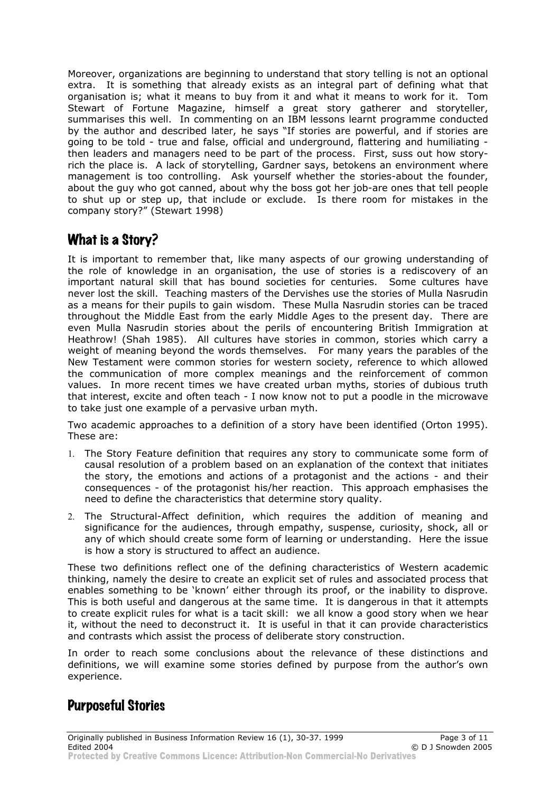Moreover, organizations are beginning to understand that story telling is not an optional extra. It is something that already exists as an integral part of defining what that organisation is; what it means to buy from it and what it means to work for it. Tom Stewart of Fortune Magazine, himself a great story gatherer and storyteller, summarises this well. In commenting on an IBM lessons learnt programme conducted by the author and described later, he says "If stories are powerful, and if stories are going to be told - true and false, official and underground, flattering and humiliating then leaders and managers need to be part of the process. First, suss out how storyrich the place is. A lack of storytelling, Gardner says, betokens an environment where management is too controlling. Ask yourself whether the stories-about the founder, about the guy who got canned, about why the boss got her job-are ones that tell people to shut up or step up, that include or exclude. Is there room for mistakes in the company story?" (Stewart 1998)

# What is a Story?

It is important to remember that, like many aspects of our growing understanding of the role of knowledge in an organisation, the use of stories is a rediscovery of an important natural skill that has bound societies for centuries. Some cultures have never lost the skill. Teaching masters of the Dervishes use the stories of Mulla Nasrudin as a means for their pupils to gain wisdom. These Mulla Nasrudin stories can be traced throughout the Middle East from the early Middle Ages to the present day. There are even Mulla Nasrudin stories about the perils of encountering British Immigration at Heathrow! (Shah 1985). All cultures have stories in common, stories which carry a weight of meaning beyond the words themselves. For many years the parables of the New Testament were common stories for western society, reference to which allowed the communication of more complex meanings and the reinforcement of common values. In more recent times we have created urban myths, stories of dubious truth that interest, excite and often teach - I now know not to put a poodle in the microwave to take just one example of a pervasive urban myth.

Two academic approaches to a definition of a story have been identified (Orton 1995). These are:

- 1. The Story Feature definition that requires any story to communicate some form of causal resolution of a problem based on an explanation of the context that initiates the story, the emotions and actions of a protagonist and the actions - and their consequences - of the protagonist his/her reaction. This approach emphasises the need to define the characteristics that determine story quality.
- 2. The Structural-Affect definition, which requires the addition of meaning and significance for the audiences, through empathy, suspense, curiosity, shock, all or any of which should create some form of learning or understanding. Here the issue is how a story is structured to affect an audience.

These two definitions reflect one of the defining characteristics of Western academic thinking, namely the desire to create an explicit set of rules and associated process that enables something to be 'known' either through its proof, or the inability to disprove. This is both useful and dangerous at the same time. It is dangerous in that it attempts to create explicit rules for what is a tacit skill: we all know a good story when we hear it, without the need to deconstruct it. It is useful in that it can provide characteristics and contrasts which assist the process of deliberate story construction.

In order to reach some conclusions about the relevance of these distinctions and definitions, we will examine some stories defined by purpose from the author's own experience.

# Purposeful Stories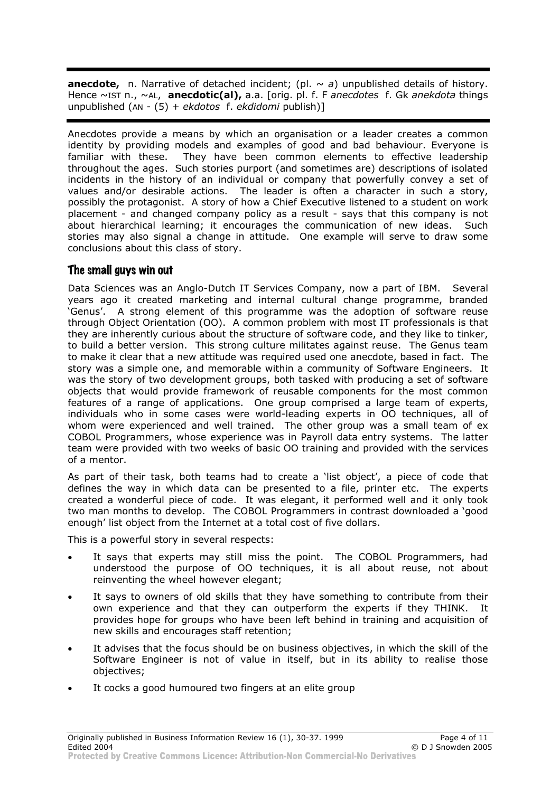**anecdote,** n. Narrative of detached incident; (pl.  $\sim a$ ) unpublished details of history. Hence ~IST n., ~AL, **anecdotic(al),** a.a. [orig. pl. f. F *anecdotes* f. Gk *anekdota* things unpublished (AN - (5) + *ekdotos* f. *ekdidomi* publish)]

Anecdotes provide a means by which an organisation or a leader creates a common identity by providing models and examples of good and bad behaviour. Everyone is familiar with these. They have been common elements to effective leadership throughout the ages. Such stories purport (and sometimes are) descriptions of isolated incidents in the history of an individual or company that powerfully convey a set of values and/or desirable actions. The leader is often a character in such a story, possibly the protagonist. A story of how a Chief Executive listened to a student on work placement - and changed company policy as a result - says that this company is not about hierarchical learning; it encourages the communication of new ideas. Such stories may also signal a change in attitude. One example will serve to draw some conclusions about this class of story.

#### The small guys win out

Data Sciences was an Anglo-Dutch IT Services Company, now a part of IBM. Several years ago it created marketing and internal cultural change programme, branded 'Genus'. A strong element of this programme was the adoption of software reuse through Object Orientation (OO). A common problem with most IT professionals is that they are inherently curious about the structure of software code, and they like to tinker, to build a better version. This strong culture militates against reuse. The Genus team to make it clear that a new attitude was required used one anecdote, based in fact. The story was a simple one, and memorable within a community of Software Engineers. It was the story of two development groups, both tasked with producing a set of software objects that would provide framework of reusable components for the most common features of a range of applications. One group comprised a large team of experts, individuals who in some cases were world-leading experts in OO techniques, all of whom were experienced and well trained. The other group was a small team of ex COBOL Programmers, whose experience was in Payroll data entry systems. The latter team were provided with two weeks of basic OO training and provided with the services of a mentor.

As part of their task, both teams had to create a 'list object', a piece of code that defines the way in which data can be presented to a file, printer etc. The experts created a wonderful piece of code. It was elegant, it performed well and it only took two man months to develop. The COBOL Programmers in contrast downloaded a 'good enough' list object from the Internet at a total cost of five dollars.

This is a powerful story in several respects:

- It says that experts may still miss the point. The COBOL Programmers, had understood the purpose of OO techniques, it is all about reuse, not about reinventing the wheel however elegant;
- It says to owners of old skills that they have something to contribute from their own experience and that they can outperform the experts if they THINK. It provides hope for groups who have been left behind in training and acquisition of new skills and encourages staff retention;
- It advises that the focus should be on business objectives, in which the skill of the Software Engineer is not of value in itself, but in its ability to realise those objectives;
- It cocks a good humoured two fingers at an elite group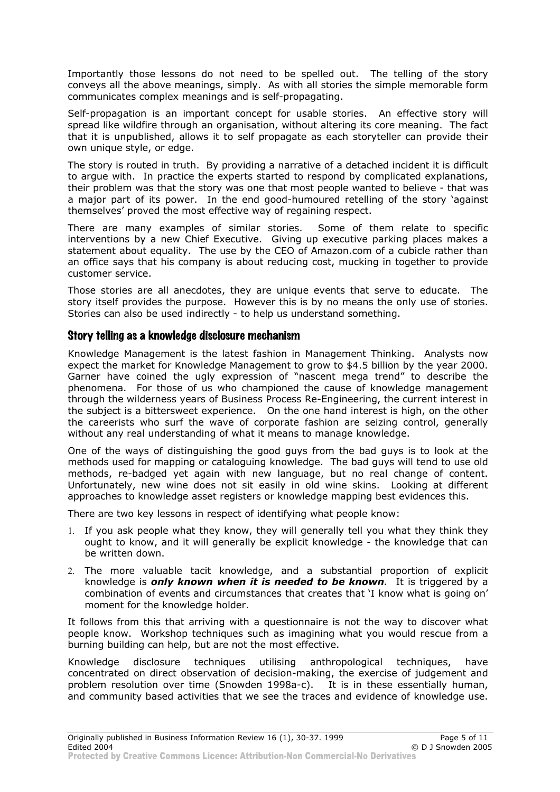Importantly those lessons do not need to be spelled out. The telling of the story conveys all the above meanings, simply. As with all stories the simple memorable form communicates complex meanings and is self-propagating.

Self-propagation is an important concept for usable stories. An effective story will spread like wildfire through an organisation, without altering its core meaning. The fact that it is unpublished, allows it to self propagate as each storyteller can provide their own unique style, or edge.

The story is routed in truth. By providing a narrative of a detached incident it is difficult to argue with. In practice the experts started to respond by complicated explanations, their problem was that the story was one that most people wanted to believe - that was a major part of its power. In the end good-humoured retelling of the story 'against themselves' proved the most effective way of regaining respect.

There are many examples of similar stories. Some of them relate to specific interventions by a new Chief Executive. Giving up executive parking places makes a statement about equality. The use by the CEO of Amazon.com of a cubicle rather than an office says that his company is about reducing cost, mucking in together to provide customer service.

Those stories are all anecdotes, they are unique events that serve to educate. The story itself provides the purpose. However this is by no means the only use of stories. Stories can also be used indirectly - to help us understand something.

#### Story telling as a knowledge disclosure mechanism

Knowledge Management is the latest fashion in Management Thinking. Analysts now expect the market for Knowledge Management to grow to \$4.5 billion by the year 2000. Garner have coined the ugly expression of "nascent mega trend" to describe the phenomena. For those of us who championed the cause of knowledge management through the wilderness years of Business Process Re-Engineering, the current interest in the subject is a bittersweet experience. On the one hand interest is high, on the other the careerists who surf the wave of corporate fashion are seizing control, generally without any real understanding of what it means to manage knowledge.

One of the ways of distinguishing the good guys from the bad guys is to look at the methods used for mapping or cataloguing knowledge. The bad guys will tend to use old methods, re-badged yet again with new language, but no real change of content. Unfortunately, new wine does not sit easily in old wine skins. Looking at different approaches to knowledge asset registers or knowledge mapping best evidences this.

There are two key lessons in respect of identifying what people know:

- 1. If you ask people what they know, they will generally tell you what they think they ought to know, and it will generally be explicit knowledge - the knowledge that can be written down.
- 2. The more valuable tacit knowledge, and a substantial proportion of explicit knowledge is *only known when it is needed to be known.* It is triggered by a combination of events and circumstances that creates that 'I know what is going on' moment for the knowledge holder.

It follows from this that arriving with a questionnaire is not the way to discover what people know. Workshop techniques such as imagining what you would rescue from a burning building can help, but are not the most effective.

Knowledge disclosure techniques utilising anthropological techniques, have concentrated on direct observation of decision-making, the exercise of judgement and problem resolution over time (Snowden 1998a-c). It is in these essentially human, and community based activities that we see the traces and evidence of knowledge use.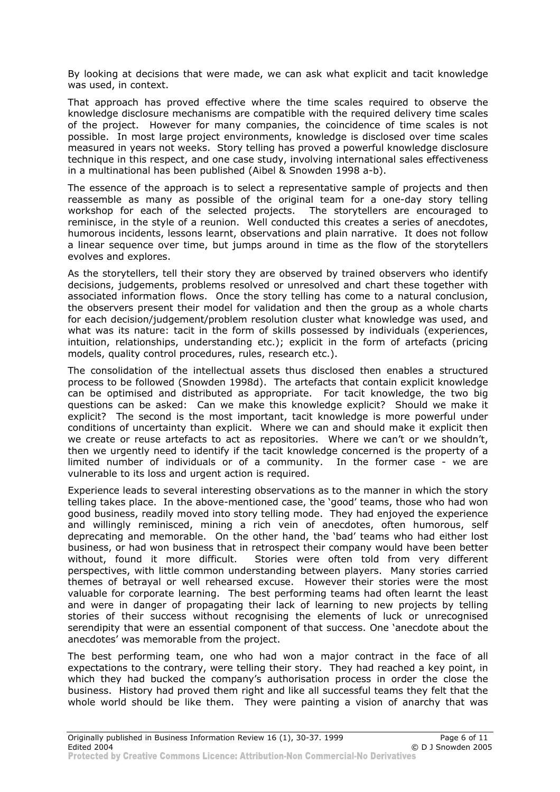By looking at decisions that were made, we can ask what explicit and tacit knowledge was used, in context.

That approach has proved effective where the time scales required to observe the knowledge disclosure mechanisms are compatible with the required delivery time scales of the project. However for many companies, the coincidence of time scales is not possible. In most large project environments, knowledge is disclosed over time scales measured in years not weeks. Story telling has proved a powerful knowledge disclosure technique in this respect, and one case study, involving international sales effectiveness in a multinational has been published (Aibel & Snowden 1998 a-b).

The essence of the approach is to select a representative sample of projects and then reassemble as many as possible of the original team for a one-day story telling workshop for each of the selected projects. The storytellers are encouraged to reminisce, in the style of a reunion. Well conducted this creates a series of anecdotes, humorous incidents, lessons learnt, observations and plain narrative. It does not follow a linear sequence over time, but jumps around in time as the flow of the storytellers evolves and explores.

As the storytellers, tell their story they are observed by trained observers who identify decisions, judgements, problems resolved or unresolved and chart these together with associated information flows. Once the story telling has come to a natural conclusion, the observers present their model for validation and then the group as a whole charts for each decision/judgement/problem resolution cluster what knowledge was used, and what was its nature: tacit in the form of skills possessed by individuals (experiences, intuition, relationships, understanding etc.); explicit in the form of artefacts (pricing models, quality control procedures, rules, research etc.).

The consolidation of the intellectual assets thus disclosed then enables a structured process to be followed (Snowden 1998d). The artefacts that contain explicit knowledge can be optimised and distributed as appropriate. For tacit knowledge, the two big questions can be asked: Can we make this knowledge explicit? Should we make it explicit? The second is the most important, tacit knowledge is more powerful under conditions of uncertainty than explicit. Where we can and should make it explicit then we create or reuse artefacts to act as repositories. Where we can't or we shouldn't, then we urgently need to identify if the tacit knowledge concerned is the property of a limited number of individuals or of a community. In the former case - we are vulnerable to its loss and urgent action is required.

Experience leads to several interesting observations as to the manner in which the story telling takes place. In the above-mentioned case, the 'good' teams, those who had won good business, readily moved into story telling mode. They had enjoyed the experience and willingly reminisced, mining a rich vein of anecdotes, often humorous, self deprecating and memorable. On the other hand, the 'bad' teams who had either lost business, or had won business that in retrospect their company would have been better without, found it more difficult. Stories were often told from very different perspectives, with little common understanding between players. Many stories carried themes of betrayal or well rehearsed excuse. However their stories were the most valuable for corporate learning. The best performing teams had often learnt the least and were in danger of propagating their lack of learning to new projects by telling stories of their success without recognising the elements of luck or unrecognised serendipity that were an essential component of that success. One 'anecdote about the anecdotes' was memorable from the project.

The best performing team, one who had won a major contract in the face of all expectations to the contrary, were telling their story. They had reached a key point, in which they had bucked the company's authorisation process in order the close the business. History had proved them right and like all successful teams they felt that the whole world should be like them. They were painting a vision of anarchy that was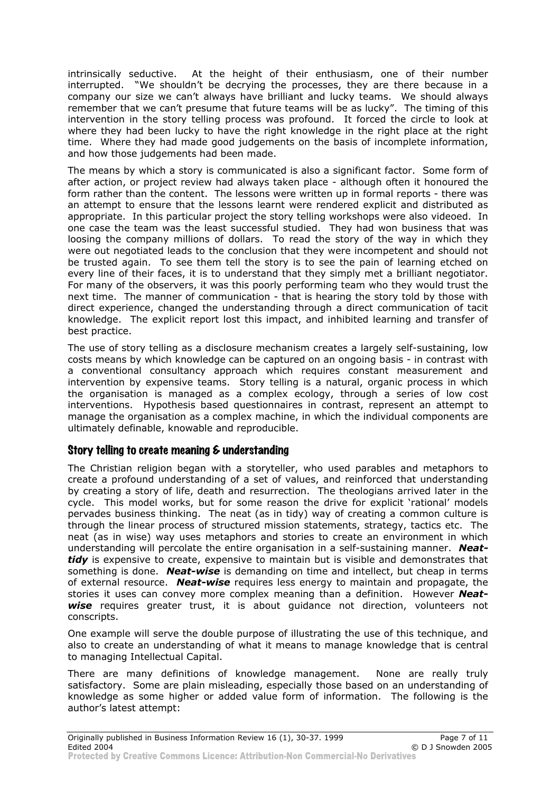intrinsically seductive. At the height of their enthusiasm, one of their number interrupted. "We shouldn't be decrying the processes, they are there because in a company our size we can't always have brilliant and lucky teams. We should always remember that we can't presume that future teams will be as lucky". The timing of this intervention in the story telling process was profound. It forced the circle to look at where they had been lucky to have the right knowledge in the right place at the right time. Where they had made good judgements on the basis of incomplete information, and how those judgements had been made.

The means by which a story is communicated is also a significant factor. Some form of after action, or project review had always taken place - although often it honoured the form rather than the content. The lessons were written up in formal reports - there was an attempt to ensure that the lessons learnt were rendered explicit and distributed as appropriate. In this particular project the story telling workshops were also videoed. In one case the team was the least successful studied. They had won business that was loosing the company millions of dollars. To read the story of the way in which they were out negotiated leads to the conclusion that they were incompetent and should not be trusted again. To see them tell the story is to see the pain of learning etched on every line of their faces, it is to understand that they simply met a brilliant negotiator. For many of the observers, it was this poorly performing team who they would trust the next time. The manner of communication - that is hearing the story told by those with direct experience, changed the understanding through a direct communication of tacit knowledge. The explicit report lost this impact, and inhibited learning and transfer of best practice.

The use of story telling as a disclosure mechanism creates a largely self-sustaining, low costs means by which knowledge can be captured on an ongoing basis - in contrast with a conventional consultancy approach which requires constant measurement and intervention by expensive teams. Story telling is a natural, organic process in which the organisation is managed as a complex ecology, through a series of low cost interventions. Hypothesis based questionnaires in contrast, represent an attempt to manage the organisation as a complex machine, in which the individual components are ultimately definable, knowable and reproducible.

#### Story telling to create meaning & understanding

The Christian religion began with a storyteller, who used parables and metaphors to create a profound understanding of a set of values, and reinforced that understanding by creating a story of life, death and resurrection. The theologians arrived later in the cycle. This model works, but for some reason the drive for explicit 'rational' models pervades business thinking. The neat (as in tidy) way of creating a common culture is through the linear process of structured mission statements, strategy, tactics etc. The neat (as in wise) way uses metaphors and stories to create an environment in which understanding will percolate the entire organisation in a self-sustaining manner. *Neattidy* is expensive to create, expensive to maintain but is visible and demonstrates that something is done. *Neat-wise* is demanding on time and intellect, but cheap in terms of external resource. *Neat-wise* requires less energy to maintain and propagate, the stories it uses can convey more complex meaning than a definition. However *Neatwise* requires greater trust, it is about guidance not direction, volunteers not conscripts.

One example will serve the double purpose of illustrating the use of this technique, and also to create an understanding of what it means to manage knowledge that is central to managing Intellectual Capital.

There are many definitions of knowledge management. None are really truly satisfactory. Some are plain misleading, especially those based on an understanding of knowledge as some higher or added value form of information. The following is the author's latest attempt: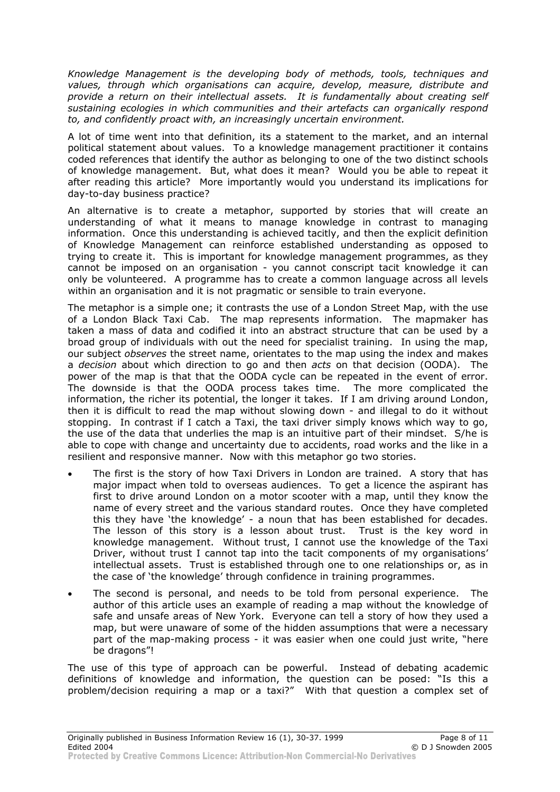*Knowledge Management is the developing body of methods, tools, techniques and values, through which organisations can acquire, develop, measure, distribute and provide a return on their intellectual assets. It is fundamentally about creating self sustaining ecologies in which communities and their artefacts can organically respond to, and confidently proact with, an increasingly uncertain environment.*

A lot of time went into that definition, its a statement to the market, and an internal political statement about values. To a knowledge management practitioner it contains coded references that identify the author as belonging to one of the two distinct schools of knowledge management. But, what does it mean? Would you be able to repeat it after reading this article? More importantly would you understand its implications for day-to-day business practice?

An alternative is to create a metaphor, supported by stories that will create an understanding of what it means to manage knowledge in contrast to managing information. Once this understanding is achieved tacitly, and then the explicit definition of Knowledge Management can reinforce established understanding as opposed to trying to create it. This is important for knowledge management programmes, as they cannot be imposed on an organisation - you cannot conscript tacit knowledge it can only be volunteered. A programme has to create a common language across all levels within an organisation and it is not pragmatic or sensible to train everyone.

The metaphor is a simple one; it contrasts the use of a London Street Map, with the use of a London Black Taxi Cab. The map represents information. The mapmaker has taken a mass of data and codified it into an abstract structure that can be used by a broad group of individuals with out the need for specialist training. In using the map, our subject *observes* the street name, orientates to the map using the index and makes a *decision* about which direction to go and then *acts* on that decision (OODA). The power of the map is that that the OODA cycle can be repeated in the event of error. The downside is that the OODA process takes time. The more complicated the information, the richer its potential, the longer it takes. If I am driving around London, then it is difficult to read the map without slowing down - and illegal to do it without stopping. In contrast if I catch a Taxi, the taxi driver simply knows which way to go, the use of the data that underlies the map is an intuitive part of their mindset. S/he is able to cope with change and uncertainty due to accidents, road works and the like in a resilient and responsive manner. Now with this metaphor go two stories.

- The first is the story of how Taxi Drivers in London are trained. A story that has major impact when told to overseas audiences. To get a licence the aspirant has first to drive around London on a motor scooter with a map, until they know the name of every street and the various standard routes. Once they have completed this they have 'the knowledge' - a noun that has been established for decades. The lesson of this story is a lesson about trust. Trust is the key word in knowledge management. Without trust, I cannot use the knowledge of the Taxi Driver, without trust I cannot tap into the tacit components of my organisations' intellectual assets. Trust is established through one to one relationships or, as in the case of 'the knowledge' through confidence in training programmes.
- The second is personal, and needs to be told from personal experience. The author of this article uses an example of reading a map without the knowledge of safe and unsafe areas of New York. Everyone can tell a story of how they used a map, but were unaware of some of the hidden assumptions that were a necessary part of the map-making process - it was easier when one could just write, "here be dragons"!

The use of this type of approach can be powerful. Instead of debating academic definitions of knowledge and information, the question can be posed: "Is this a problem/decision requiring a map or a taxi?" With that question a complex set of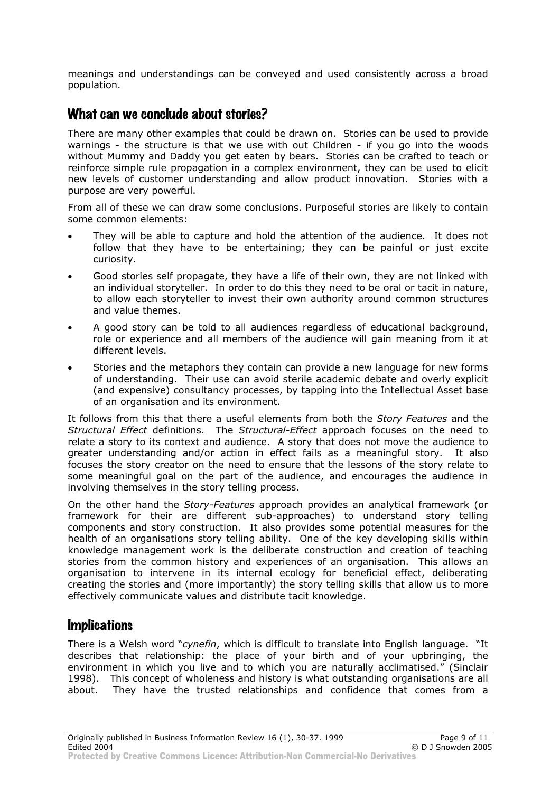meanings and understandings can be conveyed and used consistently across a broad population.

# What can we conclude about stories?

There are many other examples that could be drawn on. Stories can be used to provide warnings - the structure is that we use with out Children - if you go into the woods without Mummy and Daddy you get eaten by bears. Stories can be crafted to teach or reinforce simple rule propagation in a complex environment, they can be used to elicit new levels of customer understanding and allow product innovation. Stories with a purpose are very powerful.

From all of these we can draw some conclusions. Purposeful stories are likely to contain some common elements:

- They will be able to capture and hold the attention of the audience. It does not follow that they have to be entertaining; they can be painful or just excite curiosity.
- Good stories self propagate, they have a life of their own, they are not linked with an individual storyteller. In order to do this they need to be oral or tacit in nature, to allow each storyteller to invest their own authority around common structures and value themes.
- A good story can be told to all audiences regardless of educational background, role or experience and all members of the audience will gain meaning from it at different levels.
- Stories and the metaphors they contain can provide a new language for new forms of understanding. Their use can avoid sterile academic debate and overly explicit (and expensive) consultancy processes, by tapping into the Intellectual Asset base of an organisation and its environment.

It follows from this that there a useful elements from both the *Story Features* and the *Structural Effect* definitions. The *Structural-Effect* approach focuses on the need to relate a story to its context and audience. A story that does not move the audience to greater understanding and/or action in effect fails as a meaningful story. It also focuses the story creator on the need to ensure that the lessons of the story relate to some meaningful goal on the part of the audience, and encourages the audience in involving themselves in the story telling process.

On the other hand the *Story-Features* approach provides an analytical framework (or framework for their are different sub-approaches) to understand story telling components and story construction. It also provides some potential measures for the health of an organisations story telling ability. One of the key developing skills within knowledge management work is the deliberate construction and creation of teaching stories from the common history and experiences of an organisation. This allows an organisation to intervene in its internal ecology for beneficial effect, deliberating creating the stories and (more importantly) the story telling skills that allow us to more effectively communicate values and distribute tacit knowledge.

# **Implications**

There is a Welsh word "*cynefin*, which is difficult to translate into English language. "It describes that relationship: the place of your birth and of your upbringing, the environment in which you live and to which you are naturally acclimatised." (Sinclair 1998). This concept of wholeness and history is what outstanding organisations are all about. They have the trusted relationships and confidence that comes from a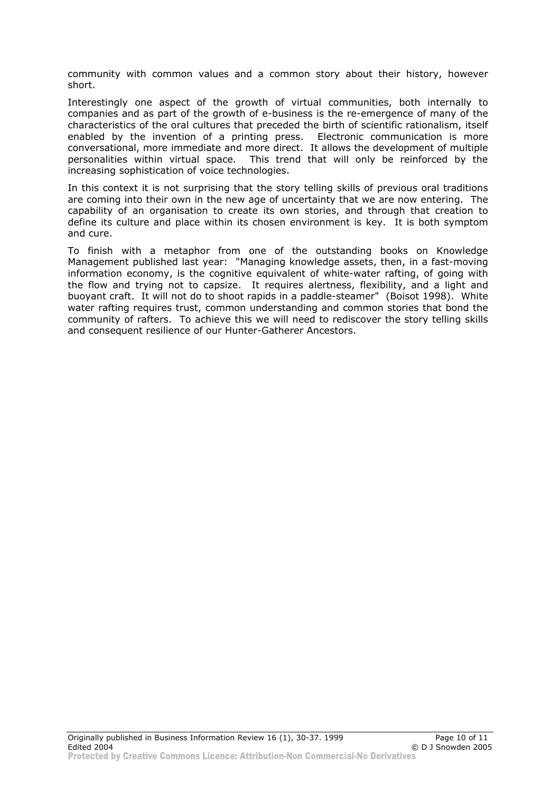community with common values and a common story about their history, however short.

Interestingly one aspect of the growth of virtual communities, both internally to companies and as part of the growth of e-business is the re-emergence of many of the characteristics of the oral cultures that preceded the birth of scientific rationalism, itself enabled by the invention of a printing press. Electronic communication is more conversational, more immediate and more direct. It allows the development of multiple personalities within virtual space. This trend that will only be reinforced by the increasing sophistication of voice technologies.

In this context it is not surprising that the story telling skills of previous oral traditions are coming into their own in the new age of uncertainty that we are now entering. The capability of an organisation to create its own stories, and through that creation to define its culture and place within its chosen environment is key. It is both symptom and cure.

To finish with a metaphor from one of the outstanding books on Knowledge Management published last year: "Managing knowledge assets, then, in a fast-moving information economy, is the cognitive equivalent of white-water rafting, of going with the flow and trying not to capsize. It requires alertness, flexibility, and a light and buoyant craft. It will not do to shoot rapids in a paddle-steamer" (Boisot 1998). White water rafting requires trust, common understanding and common stories that bond the community of rafters. To achieve this we will need to rediscover the story telling skills and consequent resilience of our Hunter-Gatherer Ancestors.